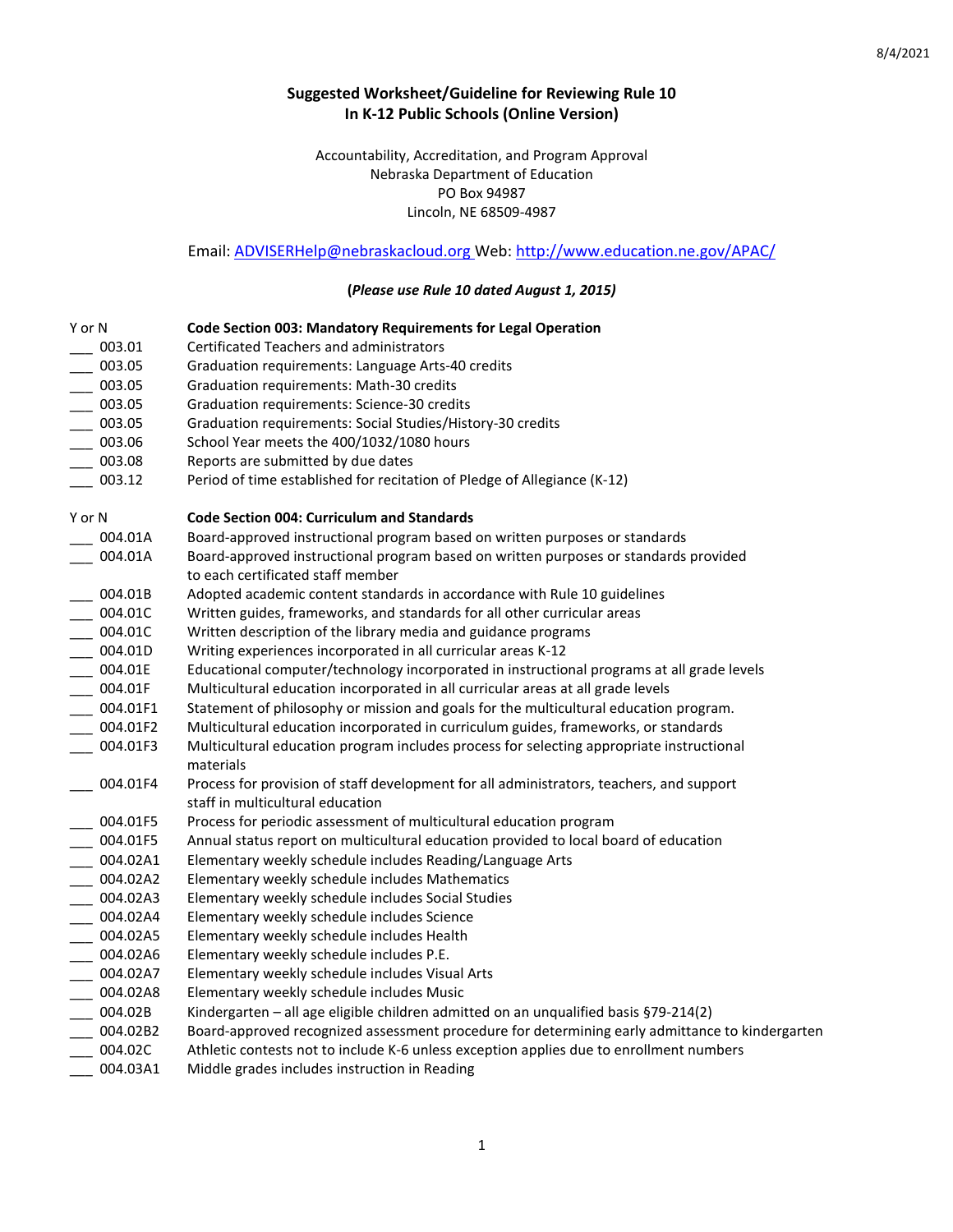## **Suggested Worksheet/Guideline for Reviewing Rule 10 In K-12 Public Schools (Online Version)**

Accountability, Accreditation, and Program Approval Nebraska Department of Education PO Box 94987 Lincoln, NE 68509-4987

## Email[: ADVISERHelp@nebraskacloud.org](mailto:ADVISERHelp@nebraskacloud.org) Web[: http://www.education.ne.gov/APAC/](http://www.education.ne.gov/APAC/)

## **(***Please use Rule 10 dated August 1, 2015)*

| Y or N                | Code Section 003: Mandatory Requirements for Legal Operation                                                                 |
|-----------------------|------------------------------------------------------------------------------------------------------------------------------|
| 003.01                | Certificated Teachers and administrators                                                                                     |
| 003.05                | Graduation requirements: Language Arts-40 credits                                                                            |
| 003.05                | Graduation requirements: Math-30 credits                                                                                     |
| 003.05                | Graduation requirements: Science-30 credits                                                                                  |
| 003.05                | Graduation requirements: Social Studies/History-30 credits                                                                   |
| 003.06                | School Year meets the 400/1032/1080 hours                                                                                    |
| 003.08                | Reports are submitted by due dates                                                                                           |
| 003.12                | Period of time established for recitation of Pledge of Allegiance (K-12)                                                     |
| Y or N                | <b>Code Section 004: Curriculum and Standards</b>                                                                            |
| 004.01A               | Board-approved instructional program based on written purposes or standards                                                  |
| 004.01A               | Board-approved instructional program based on written purposes or standards provided<br>to each certificated staff member    |
| 004.01B               | Adopted academic content standards in accordance with Rule 10 guidelines                                                     |
| 004.01C               | Written guides, frameworks, and standards for all other curricular areas                                                     |
| 004.01C               | Written description of the library media and guidance programs                                                               |
| 004.01D               | Writing experiences incorporated in all curricular areas K-12                                                                |
| 004.01E               | Educational computer/technology incorporated in instructional programs at all grade levels                                   |
| 004.01F               | Multicultural education incorporated in all curricular areas at all grade levels                                             |
| 004.01F1              | Statement of philosophy or mission and goals for the multicultural education program.                                        |
| 004.01F2              | Multicultural education incorporated in curriculum guides, frameworks, or standards                                          |
| 004.01F3              | Multicultural education program includes process for selecting appropriate instructional<br>materials                        |
| 004.01F4              | Process for provision of staff development for all administrators, teachers, and support<br>staff in multicultural education |
| 004.01F5              | Process for periodic assessment of multicultural education program                                                           |
| 004.01F5              | Annual status report on multicultural education provided to local board of education                                         |
| 004.02A1              | Elementary weekly schedule includes Reading/Language Arts                                                                    |
| 004.02A2              | Elementary weekly schedule includes Mathematics                                                                              |
| 004.02A3              | Elementary weekly schedule includes Social Studies                                                                           |
| 004.02A4              | Elementary weekly schedule includes Science                                                                                  |
| 004.02A5              | Elementary weekly schedule includes Health                                                                                   |
| 004.02A6              | Elementary weekly schedule includes P.E.                                                                                     |
| 004.02A7              | Elementary weekly schedule includes Visual Arts                                                                              |
| 004.02A8              | Elementary weekly schedule includes Music                                                                                    |
| $\frac{1}{2}$ 004.02B | Kindergarten - all age eligible children admitted on an unqualified basis §79-214(2)                                         |
| 004.02B2              | Board-approved recognized assessment procedure for determining early admittance to kindergarten                              |
| 004.02C               | Athletic contests not to include K-6 unless exception applies due to enrollment numbers                                      |
| 004.03A1              | Middle grades includes instruction in Reading                                                                                |
|                       |                                                                                                                              |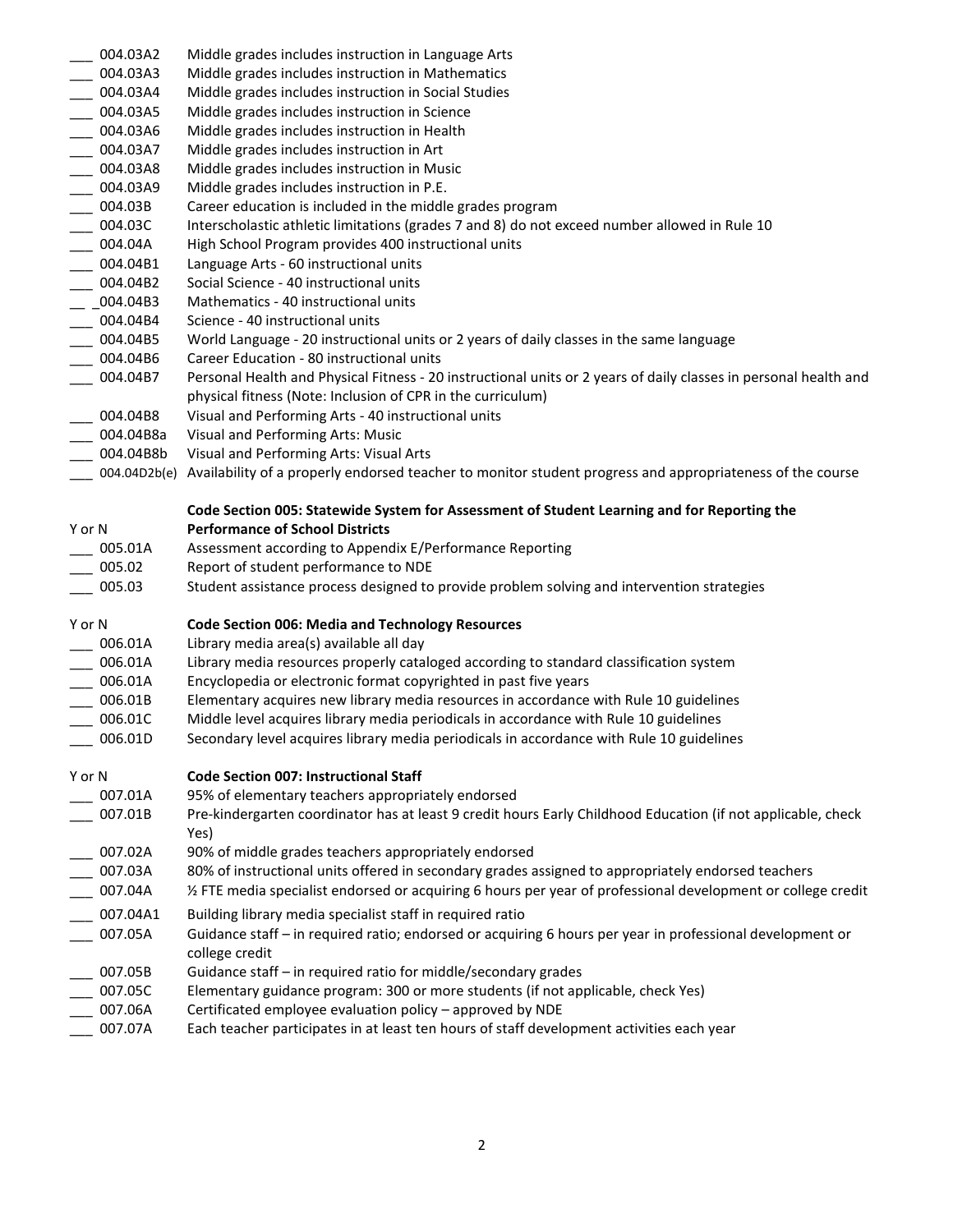| 004.03A2                    | Middle grades includes instruction in Language Arts                                                                       |
|-----------------------------|---------------------------------------------------------------------------------------------------------------------------|
| 004.03A3                    | Middle grades includes instruction in Mathematics                                                                         |
| 004.03A4                    | Middle grades includes instruction in Social Studies                                                                      |
| 004.03A5                    | Middle grades includes instruction in Science                                                                             |
| 004.03A6                    | Middle grades includes instruction in Health                                                                              |
| $-004.03A7$                 | Middle grades includes instruction in Art                                                                                 |
|                             |                                                                                                                           |
| $- 004.03A8$                | Middle grades includes instruction in Music                                                                               |
| $- 004.03A9$                | Middle grades includes instruction in P.E.                                                                                |
| $- 004.03B$                 | Career education is included in the middle grades program                                                                 |
| $-004.03C$                  | Interscholastic athletic limitations (grades 7 and 8) do not exceed number allowed in Rule 10                             |
| $\frac{1}{2}$ 004.04A       | High School Program provides 400 instructional units                                                                      |
| $\frac{1}{2}$ 004.04B1      | Language Arts - 60 instructional units                                                                                    |
| $\frac{1}{2}$ 004.04B2      | Social Science - 40 instructional units                                                                                   |
| $-2004.04B3$                | Mathematics - 40 instructional units                                                                                      |
| $\frac{1}{2}$ 004.04B4      | Science - 40 instructional units                                                                                          |
| $\frac{004.04B5}{004.04B6}$ | World Language - 20 instructional units or 2 years of daily classes in the same language                                  |
|                             | Career Education - 80 instructional units                                                                                 |
| 004.04B7                    | Personal Health and Physical Fitness - 20 instructional units or 2 years of daily classes in personal health and          |
|                             | physical fitness (Note: Inclusion of CPR in the curriculum)                                                               |
| $-004.04B8$                 | Visual and Performing Arts - 40 instructional units                                                                       |
| ____ 004.04B8a              | Visual and Performing Arts: Music                                                                                         |
| $- 004.04B8b$               | Visual and Performing Arts: Visual Arts                                                                                   |
|                             | __ 004.04D2b(e) Availability of a properly endorsed teacher to monitor student progress and appropriateness of the course |
|                             |                                                                                                                           |
|                             | Code Section 005: Statewide System for Assessment of Student Learning and for Reporting the                               |
| Y or N                      | <b>Performance of School Districts</b>                                                                                    |
|                             |                                                                                                                           |
|                             |                                                                                                                           |
| 005.01A                     | Assessment according to Appendix E/Performance Reporting                                                                  |
| 005.02                      | Report of student performance to NDE                                                                                      |
| 005.03                      | Student assistance process designed to provide problem solving and intervention strategies                                |
| Y or N                      | <b>Code Section 006: Media and Technology Resources</b>                                                                   |
|                             |                                                                                                                           |
| 006.01A                     | Library media area(s) available all day                                                                                   |
| 006.01A                     | Library media resources properly cataloged according to standard classification system                                    |
| $- 006.01A$                 | Encyclopedia or electronic format copyrighted in past five years                                                          |
| $\frac{1}{2}$ 006.01B       | Elementary acquires new library media resources in accordance with Rule 10 guidelines                                     |
| $- 006.01C$                 | Middle level acquires library media periodicals in accordance with Rule 10 guidelines                                     |
| 006.01D                     | Secondary level acquires library media periodicals in accordance with Rule 10 guidelines                                  |
|                             |                                                                                                                           |
| Y or N                      | <b>Code Section 007: Instructional Staff</b>                                                                              |
| 007.01A                     | 95% of elementary teachers appropriately endorsed                                                                         |
| 007.01B                     | Pre-kindergarten coordinator has at least 9 credit hours Early Childhood Education (if not applicable, check              |
|                             | Yes)                                                                                                                      |
| 007.02A                     | 90% of middle grades teachers appropriately endorsed                                                                      |
| 007.03A                     | 80% of instructional units offered in secondary grades assigned to appropriately endorsed teachers                        |
| 007.04A                     | 1/2 FTE media specialist endorsed or acquiring 6 hours per year of professional development or college credit             |
| 007.04A1                    | Building library media specialist staff in required ratio                                                                 |
| 007.05A                     | Guidance staff - in required ratio; endorsed or acquiring 6 hours per year in professional development or                 |
|                             | college credit                                                                                                            |
| 007.05B                     | Guidance staff - in required ratio for middle/secondary grades                                                            |
| 007.05C                     | Elementary guidance program: 300 or more students (if not applicable, check Yes)                                          |
| 007.06A                     | Certificated employee evaluation policy - approved by NDE                                                                 |